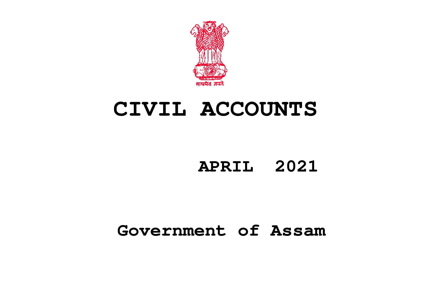

# **CIVIL ACCOUNTS**

## **APRIL 2021**

## **Government of Assam**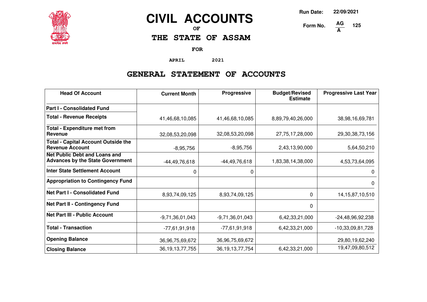

## **CIVIL ACCOUNTS**

**OF**

## **THE STATE OF ASSAM**

**FOR**

**APRIL 2021**

## **GENERAL STATEMENT OF ACCOUNTS**

| <b>Head Of Account</b>                                                          | <b>Current Month</b> | Progressive         | <b>Budget/Revised</b><br><b>Estimate</b> | <b>Progressive Last Year</b> |
|---------------------------------------------------------------------------------|----------------------|---------------------|------------------------------------------|------------------------------|
| <b>Part I - Consolidated Fund</b>                                               |                      |                     |                                          |                              |
| <b>Total - Revenue Receipts</b>                                                 | 41,46,68,10,085      | 41,46,68,10,085     | 8,89,79,40,26,000                        | 38,98,16,69,781              |
| <b>Total - Expenditure met from</b><br>Revenue                                  | 32,08,53,20,098      | 32,08,53,20,098     | 27,75,17,28,000                          | 29,30,38,73,156              |
| <b>Total - Capital Account Outside the</b><br><b>Revenue Account</b>            | $-8,95,756$          | $-8,95,756$         | 2,43,13,90,000                           | 5,64,50,210                  |
| <b>Net Public Debt and Loans and</b><br><b>Advances by the State Government</b> | $-44,49,76,618$      | $-44,49,76,618$     | 1,83,38,14,38,000                        | 4,53,73,64,095               |
| <b>Inter State Settlement Account</b>                                           | 0                    | 0                   |                                          | 0                            |
| <b>Appropriation to Contingency Fund</b>                                        |                      |                     |                                          | $\Omega$                     |
| <b>Net Part I - Consolidated Fund</b>                                           | 8,93,74,09,125       | 8,93,74,09,125      | $\Omega$                                 | 14, 15, 87, 10, 510          |
| <b>Net Part II - Contingency Fund</b>                                           |                      |                     | $\Omega$                                 |                              |
| <b>Net Part III - Public Account</b>                                            | $-9,71,36,01,043$    | $-9,71,36,01,043$   | 6,42,33,21,000                           | $-24,48,96,92,238$           |
| <b>Total - Transaction</b>                                                      | $-77,61,91,918$      | $-77,61,91,918$     | 6,42,33,21,000                           | $-10,33,09,81,728$           |
| <b>Opening Balance</b>                                                          | 36,96,75,69,672      | 36,96,75,69,672     |                                          | 29,80,19,62,240              |
| <b>Closing Balance</b>                                                          | 36, 19, 13, 77, 755  | 36, 19, 13, 77, 754 | 6,42,33,21,000                           | 19,47,09,80,512              |

**Run Date: 22/09/2021**

**125**

**Form No. A**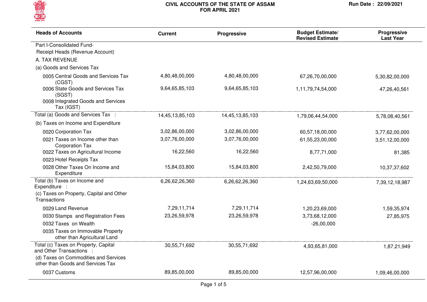

| <b>Heads of Accounts</b>                                                                        | <b>Current</b>  | Progressive     | <b>Budget Estimate/</b><br><b>Revised Estimate</b> | Progressive<br><b>Last Year</b> |
|-------------------------------------------------------------------------------------------------|-----------------|-----------------|----------------------------------------------------|---------------------------------|
| Part I-Consolidated Fund-                                                                       |                 |                 |                                                    |                                 |
| Receipt Heads (Revenue Account)                                                                 |                 |                 |                                                    |                                 |
| A. TAX REVENUE                                                                                  |                 |                 |                                                    |                                 |
| (a) Goods and Services Tax                                                                      |                 |                 |                                                    |                                 |
| 0005 Central Goods and Services Tax<br>(CGST)                                                   | 4,80,48,00,000  | 4,80,48,00,000  | 67,26,70,00,000                                    | 5,30,82,00,000                  |
| 0006 State Goods and Services Tax<br>(SGST)<br>0008 Integrated Goods and Services<br>Tax (IGST) | 9,64,65,85,103  | 9,64,65,85,103  | 1,11,79,74,54,000                                  | 47,26,40,561                    |
| Total (a) Goods and Services Tax :                                                              | 14,45,13,85,103 | 14,45,13,85,103 | 1,79,06,44,54,000                                  | 5,78,08,40,561                  |
| (b) Taxes on Income and Expenditure                                                             |                 |                 |                                                    |                                 |
| 0020 Corporation Tax                                                                            | 3,02,86,00,000  | 3,02,86,00,000  | 60,57,18,00,000                                    | 3,77,62,00,000                  |
| 0021 Taxes on Income other than<br><b>Corporation Tax</b>                                       | 3,07,76,00,000  | 3,07,76,00,000  | 61,55,23,00,000                                    | 3,51,12,00,000                  |
| 0022 Taxes on Agricultural Income                                                               | 16,22,560       | 16,22,560       | 8,77,71,000                                        | 81,385                          |
| 0023 Hotel Receipts Tax                                                                         |                 |                 |                                                    |                                 |
| 0028 Other Taxes On Income and<br>Expenditure                                                   | 15,84,03,800    | 15,84,03,800    | 2,42,50,79,000                                     | 10,37,37,602                    |
| Total (b) Taxes on Income and<br>Expenditure :                                                  | 6,26,62,26,360  | 6,26,62,26,360  | 1,24,63,69,50,000                                  | 7,39,12,18,987                  |
| (c) Taxes on Property, Capital and Other<br>Transactions                                        |                 |                 |                                                    |                                 |
| 0029 Land Revenue                                                                               | 7,29,11,714     | 7,29,11,714     | 1,20,23,69,000                                     | 1,59,35,974                     |
| 0030 Stamps and Registration Fees                                                               | 23,26,59,978    | 23,26,59,978    | 3,73,68,12,000                                     | 27,85,975                       |
| 0032 Taxes on Wealth                                                                            |                 |                 | $-26,00,000$                                       |                                 |
| 0035 Taxes on Immovable Property<br>other than Agricultural Land                                |                 |                 |                                                    |                                 |
| Total (c) Taxes on Property, Capital<br>and Other Transactions :                                | 30,55,71,692    | 30,55,71,692    | 4,93,65,81,000                                     | 1,87,21,949                     |
| (d) Taxes on Commodities and Services<br>other than Goods and Services Tax                      |                 |                 |                                                    |                                 |
| 0037 Customs                                                                                    | 89,85,00,000    | 89,85,00,000    | 12,57,96,00,000                                    | 1,09,46,00,000                  |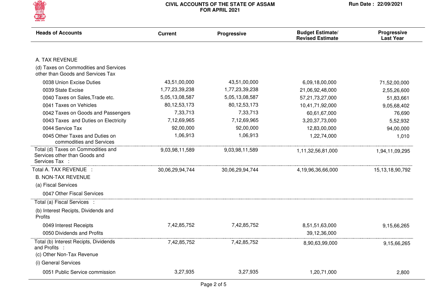

| <b>Heads of Accounts</b>                                                              | <b>Current</b>  | Progressive     | <b>Budget Estimate/</b><br><b>Revised Estimate</b> | Progressive<br><b>Last Year</b> |
|---------------------------------------------------------------------------------------|-----------------|-----------------|----------------------------------------------------|---------------------------------|
|                                                                                       |                 |                 |                                                    |                                 |
| A. TAX REVENUE                                                                        |                 |                 |                                                    |                                 |
| (d) Taxes on Commodities and Services<br>other than Goods and Services Tax            |                 |                 |                                                    |                                 |
| 0038 Union Excise Duties                                                              | 43,51,00,000    | 43,51,00,000    | 6,09,18,00,000                                     | 71,52,00,000                    |
| 0039 State Excise                                                                     | 1,77,23,39,238  | 1,77,23,39,238  | 21,06,92,48,000                                    | 2,55,26,600                     |
| 0040 Taxes on Sales, Trade etc.                                                       | 5,05,13,08,587  | 5,05,13,08,587  | 57,21,73,27,000                                    | 51,83,661                       |
| 0041 Taxes on Vehicles                                                                | 80, 12, 53, 173 | 80, 12, 53, 173 | 10,41,71,92,000                                    | 9,05,68,402                     |
| 0042 Taxes on Goods and Passengers                                                    | 7,33,713        | 7,33,713        | 60,61,67,000                                       | 76,690                          |
| 0043 Taxes and Duties on Electricity                                                  | 7,12,69,965     | 7,12,69,965     | 3,20,37,73,000                                     | 5,52,932                        |
| 0044 Service Tax                                                                      | 92,00,000       | 92,00,000       | 12,83,00,000                                       | 94,00,000                       |
| 0045 Other Taxes and Duties on<br>commodities and Services                            | 1,06,913        | 1,06,913        | 1,22,74,000                                        | 1,010                           |
| Total (d) Taxes on Commodities and<br>Services other than Goods and<br>Services Tax : | 9,03,98,11,589  | 9,03,98,11,589  | 1,11,32,56,81,000                                  | 1,94,11,09,295                  |
| Total A. TAX REVENUE :                                                                | 30,06,29,94,744 | 30,06,29,94,744 | 4,19,96,36,66,000                                  | 15, 13, 18, 90, 792             |
| <b>B. NON-TAX REVENUE</b>                                                             |                 |                 |                                                    |                                 |
| (a) Fiscal Services                                                                   |                 |                 |                                                    |                                 |
| 0047 Other Fiscal Services                                                            |                 |                 |                                                    |                                 |
| Total (a) Fiscal Services :                                                           |                 |                 |                                                    |                                 |
| (b) Interest Recipts, Dividends and<br>Profits                                        |                 |                 |                                                    |                                 |
| 0049 Interest Receipts                                                                | 7,42,85,752     | 7,42,85,752     | 8,51,51,63,000                                     | 9,15,66,265                     |
| 0050 Dividends and Profits                                                            |                 |                 | 39,12,36,000                                       |                                 |
| Total (b) Interest Recipts, Dividends<br>and Profits :                                | 7,42,85,752     | 7,42,85,752     | 8,90,63,99,000                                     | 9,15,66,265                     |
| (c) Other Non-Tax Revenue                                                             |                 |                 |                                                    |                                 |
| (i) General Services                                                                  |                 |                 |                                                    |                                 |
| 0051 Public Service commission                                                        | 3,27,935        | 3,27,935        | 1,20,71,000                                        | 2,800                           |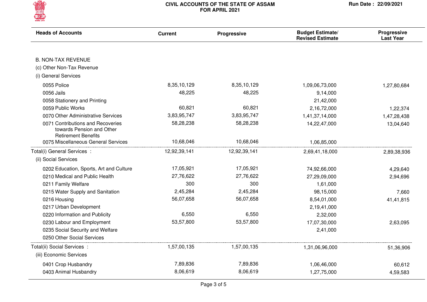

| <b>Heads of Accounts</b>                                                                     | <b>Current</b> | Progressive  | <b>Budget Estimate/</b><br><b>Revised Estimate</b> | Progressive<br><b>Last Year</b> |
|----------------------------------------------------------------------------------------------|----------------|--------------|----------------------------------------------------|---------------------------------|
|                                                                                              |                |              |                                                    |                                 |
| <b>B. NON-TAX REVENUE</b>                                                                    |                |              |                                                    |                                 |
| (c) Other Non-Tax Revenue                                                                    |                |              |                                                    |                                 |
| (i) General Services                                                                         |                |              |                                                    |                                 |
| 0055 Police                                                                                  | 8,35,10,129    | 8,35,10,129  | 1,09,06,73,000                                     | 1,27,80,684                     |
| 0056 Jails                                                                                   | 48,225         | 48,225       | 9,14,000                                           |                                 |
| 0058 Stationery and Printing                                                                 |                |              | 21,42,000                                          |                                 |
| 0059 Public Works                                                                            | 60,821         | 60,821       | 2,16,72,000                                        | 1,22,374                        |
| 0070 Other Administrative Services                                                           | 3,83,95,747    | 3,83,95,747  | 1,41,37,14,000                                     | 1,47,28,438                     |
| 0071 Contributions and Recoveries<br>towards Pension and Other<br><b>Retirement Benefits</b> | 58,28,238      | 58,28,238    | 14,22,47,000                                       | 13,04,640                       |
| 0075 Miscellaneous General Services                                                          | 10,68,046      | 10,68,046    | 1,06,85,000                                        |                                 |
| Total(i) General Services :                                                                  | 12,92,39,141   | 12,92,39,141 | 2,69,41,18,000                                     | 2,89,38,936                     |
| (ii) Social Services                                                                         |                |              |                                                    |                                 |
| 0202 Education, Sports, Art and Culture                                                      | 17,05,921      | 17,05,921    | 74,92,66,000                                       | 4,29,640                        |
| 0210 Medical and Public Health                                                               | 27,76,622      | 27,76,622    | 27,29,09,000                                       | 2,94,696                        |
| 0211 Family Welfare                                                                          | 300            | 300          | 1,61,000                                           |                                 |
| 0215 Water Supply and Sanitation                                                             | 2,45,284       | 2,45,284     | 98,15,000                                          | 7,660                           |
| 0216 Housing                                                                                 | 56,07,658      | 56,07,658    | 8,54,01,000                                        | 41,41,815                       |
| 0217 Urban Development                                                                       |                |              | 2,19,41,000                                        |                                 |
| 0220 Information and Publicity                                                               | 6,550          | 6,550        | 2,32,000                                           |                                 |
| 0230 Labour and Employment                                                                   | 53,57,800      | 53,57,800    | 17,07,30,000                                       | 2,63,095                        |
| 0235 Social Security and Welfare                                                             |                |              | 2,41,000                                           |                                 |
| 0250 Other Social Services                                                                   |                |              |                                                    |                                 |
| Total(ii) Social Services :<br>(iii) Economic Services                                       | 1,57,00,135    | 1,57,00,135  | 1,31,06,96,000                                     | 51,36,906                       |
| 0401 Crop Husbandry                                                                          | 7,89,836       | 7,89,836     | 1,06,46,000                                        | 60,612                          |
| 0403 Animal Husbandry                                                                        | 8,06,619       | 8,06,619     | 1,27,75,000                                        | 4,59,583                        |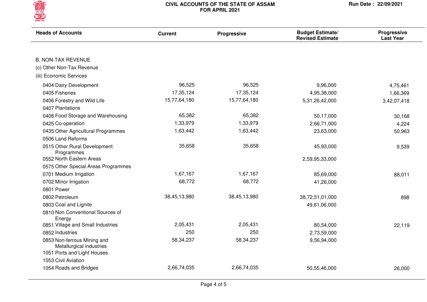

| <b>Heads of Accounts</b>                                | <b>Current</b> | <b>Progressive</b> | <b>Budget Estimate/</b><br><b>Revised Estimate</b> | Progressive<br><b>Last Year</b> |
|---------------------------------------------------------|----------------|--------------------|----------------------------------------------------|---------------------------------|
|                                                         |                |                    |                                                    |                                 |
| <b>B. NON-TAX REVENUE</b>                               |                |                    |                                                    |                                 |
| (c) Other Non-Tax Revenue                               |                |                    |                                                    |                                 |
| (iii) Economic Services                                 |                |                    |                                                    |                                 |
| 0404 Dairy Development                                  | 96,525         | 96,525             | 9,96,000                                           | 4,75,461                        |
| 0405 Fisheries                                          | 17,35,124      | 17,35,124          | 4,95,38,000                                        | 1,66,369                        |
| 0406 Forestry and Wild Life                             | 15,77,64,180   | 15,77,64,180       | 5,31,26,42,000                                     | 3,42,07,418                     |
| 0407 Plantations                                        |                |                    |                                                    |                                 |
| 0408 Food Storage and Warehousing                       | 65,382         | 65,382             | 50,17,000                                          | 30,168                          |
| 0425 Co-operation                                       | 1,33,979       | 1,33,979           | 2,66,71,000                                        | 4,224                           |
| 0435 Other Agricultural Programmes                      | 1,63,442       | 1,63,442           | 23,63,000                                          | 50,963                          |
| 0506 Land Reforms                                       |                |                    |                                                    |                                 |
| 0515 Other Rural Development<br>Programmes              | 35,658         | 35,658             | 45,93,000                                          | 9,539                           |
| 0552 North Eastern Areas                                |                |                    | 2,59,95,33,000                                     |                                 |
| 0575 Other Special Areas Programmes                     |                |                    |                                                    |                                 |
| 0701 Medium Irrigation                                  | 1,67,167       | 1,67,167           | 85,69,000                                          | 88,011                          |
| 0702 Minor Irrigation                                   | 68,772         | 68,772             | 41,26,000                                          |                                 |
| 0801 Power                                              |                |                    |                                                    |                                 |
| 0802 Petroleum                                          | 38,45,13,980   | 38,45,13,980       | 38,72,51,01,000                                    | 898                             |
| 0803 Coal and Lignite                                   |                |                    | 49,61,06,000                                       |                                 |
| 0810 Non Conventional Sources of<br>Energy              |                |                    |                                                    |                                 |
| 0851 Village and Small Industries                       | 2,05,431       | 2,05,431           | 80,54,000                                          | 22,119                          |
| 0852 Industries                                         | 250            | 250                | 2,73,59,000                                        |                                 |
| 0853 Non-ferrous Mining and<br>Metallurgical industries | 58, 34, 237    | 58,34,237          | 9,56,94,000                                        |                                 |
| 1051 Ports and Light Houses<br>1053 Civil Aviation      |                |                    |                                                    |                                 |
|                                                         |                |                    |                                                    |                                 |
| 1054 Roads and Bridges                                  | 2,66,74,035    | 2,66,74,035        | 50,55,46,000                                       | 26,000                          |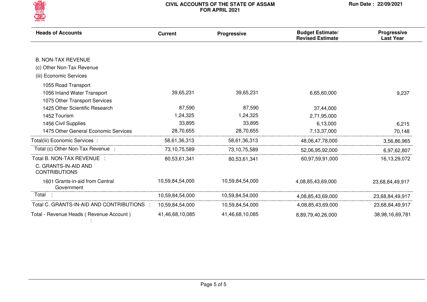

| <b>Heads of Accounts</b>                      | <b>Current</b>  | Progressive     | <b>Budget Estimate/</b><br><b>Revised Estimate</b> | <b>Progressive</b><br><b>Last Year</b> |
|-----------------------------------------------|-----------------|-----------------|----------------------------------------------------|----------------------------------------|
|                                               |                 |                 |                                                    |                                        |
| <b>B. NON-TAX REVENUE</b>                     |                 |                 |                                                    |                                        |
| (c) Other Non-Tax Revenue                     |                 |                 |                                                    |                                        |
| (iii) Economic Services                       |                 |                 |                                                    |                                        |
| 1055 Road Transport                           |                 |                 |                                                    |                                        |
| 1056 Inland Water Transport                   | 39,65,231       | 39,65,231       | 6,65,60,000                                        | 9,237                                  |
| 1075 Other Transport Services                 |                 |                 |                                                    |                                        |
| 1425 Other Scientific Research                | 87,590          | 87,590          | 37,44,000                                          |                                        |
| 1452 Tourism                                  | 1,24,325        | 1,24,325        | 2,71,95,000                                        |                                        |
| 1456 Civil Supplies                           | 33,895          | 33,895          | 6,13,000                                           | 6,215                                  |
| 1475 Other General Economic Services          | 28,70,655       | 28,70,655       | 7,13,37,000                                        | 70,148                                 |
| Total(iii) Economic Services :                | 58,61,36,313    | 58,61,36,313    | 48,06,47,78,000                                    | 3,56,86,965                            |
| Total (c) Other Non-Tax Revenue :             | 73,10,75,589    | 73, 10, 75, 589 | 52,06,95,92,000                                    | 6,97,62,807                            |
| Total B. NON-TAX REVENUE :                    | 80,53,61,341    | 80,53,61,341    | 60,97,59,91,000                                    | 16,13,29,072                           |
| C. GRANTS-IN-AID AND<br><b>CONTRIBUTIONS</b>  |                 |                 |                                                    |                                        |
| 1601 Grants-in-aid from Central<br>Government | 10,59,84,54,000 | 10,59,84,54,000 | 4,08,85,43,69,000                                  | 23,68,84,49,917                        |
| Total :                                       | 10,59,84,54,000 | 10,59,84,54,000 | 4,08,85,43,69,000                                  | 23,68,84,49,917                        |
| Total C. GRANTS-IN-AID AND CONTRIBUTIONS :    | 10,59,84,54,000 | 10,59,84,54,000 | 4,08,85,43,69,000                                  | 23,68,84,49,917                        |
| Total - Revenue Heads (Revenue Account)       | 41,46,68,10,085 | 41,46,68,10,085 | 8,89,79,40,26,000                                  | 38,98,16,69,781                        |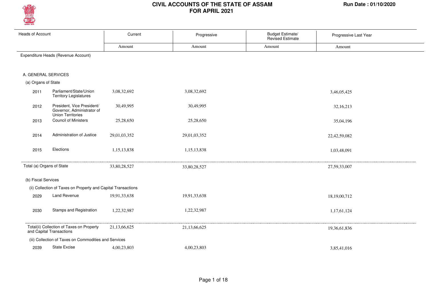

| Heads of Account    |                                                                                      | Current      | Progressive  | <b>Budget Estimate/</b><br><b>Revised Estimate</b> | Progressive Last Year |
|---------------------|--------------------------------------------------------------------------------------|--------------|--------------|----------------------------------------------------|-----------------------|
|                     |                                                                                      | Amount       | Amount       | Amount                                             | Amount                |
|                     | Expenditure Heads (Revenue Account)                                                  |              |              |                                                    |                       |
|                     | A. GENERAL SERVICES                                                                  |              |              |                                                    |                       |
| (a) Organs of State |                                                                                      |              |              |                                                    |                       |
| 2011                | Parliament/State/Union<br><b>Territory Legislatures</b>                              | 3,08,32,692  | 3,08,32,692  |                                                    | 3,46,05,425           |
| 2012                | President, Vice President/<br>Governor, Administrator of<br><b>Union Territories</b> | 30,49,995    | 30,49,995    |                                                    | 32,16,213             |
| 2013                | <b>Council of Ministers</b>                                                          | 25,28,650    | 25,28,650    |                                                    | 35,04,196             |
| 2014                | Administration of Justice                                                            | 29,01,03,352 | 29,01,03,352 |                                                    | 22,42,59,082          |
| 2015                | Elections                                                                            | 1,15,13,838  | 1,15,13,838  |                                                    | 1,03,48,091           |
|                     | Total (a) Organs of State                                                            | 33,80,28,527 | 33,80,28,527 |                                                    | 27,59,33,007          |
| (b) Fiscal Services |                                                                                      |              |              |                                                    |                       |
|                     | (ii) Collection of Taxes on Property and Capital Transactions                        |              |              |                                                    |                       |
| 2029                | Land Revenue                                                                         | 19,91,33,638 | 19,91,33,638 |                                                    | 18,19,00,712          |
| 2030                | Stamps and Registration                                                              | 1,22,32,987  | 1,22,32,987  |                                                    | 1,17,61,124           |
|                     | Total(ii) Collection of Taxes on Property<br>and Capital Transactions                | 21,13,66,625 | 21,13,66,625 |                                                    | 19,36,61,836          |
|                     | (iii) Collection of Taxes on Commodities and Services                                |              |              |                                                    |                       |
| 2039                | State Excise                                                                         | 4,00,23,803  | 4,00,23,803  |                                                    | 3,85,41,016           |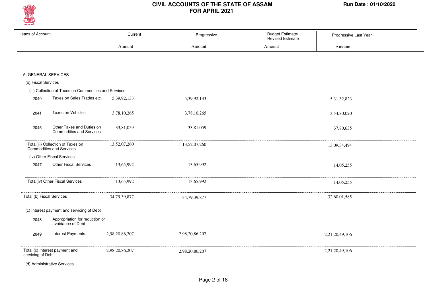

|                                                       |                                     | <b>Revised Estimate</b>                 |                         |                                                                |
|-------------------------------------------------------|-------------------------------------|-----------------------------------------|-------------------------|----------------------------------------------------------------|
| Amount                                                | Amount                              | Amount                                  | Amount                  |                                                                |
|                                                       |                                     |                                         |                         |                                                                |
|                                                       |                                     |                                         |                         |                                                                |
|                                                       |                                     |                                         |                         |                                                                |
|                                                       |                                     |                                         |                         |                                                                |
| (iii) Collection of Taxes on Commodities and Services |                                     |                                         |                         |                                                                |
| 5,39,92,133                                           | 5,39,92,133                         |                                         | 5,31,32,823             |                                                                |
|                                                       |                                     |                                         |                         |                                                                |
|                                                       |                                     |                                         |                         |                                                                |
| 33,81,059                                             | 33,81,059                           |                                         | 37,80,635               |                                                                |
|                                                       |                                     |                                         |                         |                                                                |
| 13,52,07,260                                          | 13,52,07,260                        |                                         | 13,09,34,494            |                                                                |
|                                                       |                                     |                                         |                         |                                                                |
|                                                       |                                     |                                         |                         |                                                                |
|                                                       |                                     |                                         |                         |                                                                |
| 13,65,992                                             | 13,65,992                           |                                         |                         |                                                                |
|                                                       |                                     |                                         |                         |                                                                |
| 34,79,39,877                                          | 34,79,39,877                        |                                         | 32,60,01,585            |                                                                |
|                                                       |                                     |                                         |                         |                                                                |
|                                                       |                                     |                                         |                         |                                                                |
|                                                       |                                     |                                         |                         |                                                                |
| 2,98,20,86,207                                        | 2,98,20,86,207                      |                                         | 2,21,20,49,106          |                                                                |
| 2,98,20,86,207                                        | 2,98,20,86,207                      |                                         | 2,21,20,49,106          |                                                                |
|                                                       |                                     |                                         |                         |                                                                |
|                                                       | Current<br>3,78,10,265<br>13,65,992 | Progressive<br>3,78,10,265<br>13,65,992 | <b>Budget Estimate/</b> | Progressive Last Year<br>3,54,80,020<br>14,05,255<br>14,05,255 |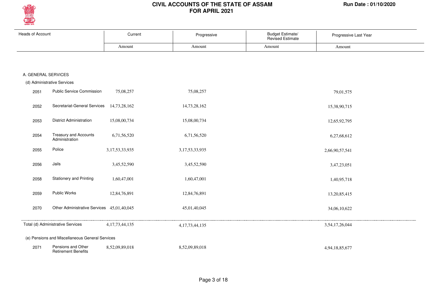

| <b>Heads of Account</b> |                                                  | Current            | Progressive        | Budget Estimate/<br>Revised Estimate | Progressive Last Year |
|-------------------------|--------------------------------------------------|--------------------|--------------------|--------------------------------------|-----------------------|
|                         |                                                  | Amount             | Amount             | Amount                               | Amount                |
|                         |                                                  |                    |                    |                                      |                       |
| A. GENERAL SERVICES     |                                                  |                    |                    |                                      |                       |
|                         | (d) Administrative Services                      |                    |                    |                                      |                       |
| 2051                    | <b>Public Service Commission</b>                 | 75,08,257          | 75,08,257          |                                      | 79,01,575             |
| 2052                    | Secretariat-General Services                     | 14,73,28,162       | 14,73,28,162       |                                      | 15,38,90,715          |
| 2053                    | <b>District Administration</b>                   | 15,08,00,734       | 15,08,00,734       |                                      | 12,65,92,795          |
| 2054                    | Treasury and Accounts<br>Administration          | 6,71,56,520        | 6,71,56,520        |                                      | 6,27,68,612           |
| 2055                    | Police                                           | 3, 17, 53, 33, 935 | 3, 17, 53, 33, 935 |                                      | 2,66,90,57,541        |
| 2056                    | Jails                                            | 3,45,52,590        | 3,45,52,590        |                                      | 3,47,23,051           |
| 2058                    | <b>Stationery and Printing</b>                   | 1,60,47,001        | 1,60,47,001        |                                      | 1,40,95,718           |
| 2059                    | Public Works                                     | 12,84,76,891       | 12,84,76,891       |                                      | 13,20,85,415          |
| 2070                    | Other Administrative Services 45,01,40,045       |                    | 45,01,40,045       |                                      | 34,06,10,622          |
|                         | Total (d) Administrative Services                | 4, 17, 73, 44, 135 | 4, 17, 73, 44, 135 |                                      | 3,54,17,26,044        |
|                         | (e) Pensions and Miscellaneous General Services  |                    |                    |                                      |                       |
| 2071                    | Pensions and Other<br><b>Retirement Benefits</b> | 8,52,09,89,018     | 8,52,09,89,018     |                                      | 4,94,18,85,677        |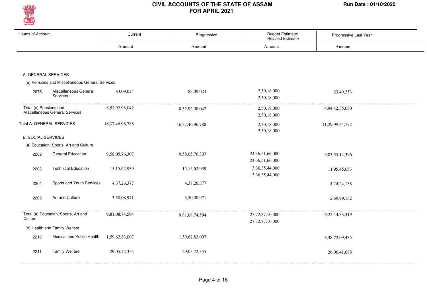

| <b>Heads of Account</b>       |                                                 | Current             | Progressive         | Budget Estimate/<br><b>Revised Estimate</b> | Progressive Last Year |
|-------------------------------|-------------------------------------------------|---------------------|---------------------|---------------------------------------------|-----------------------|
|                               |                                                 | Amount              | Amount              | Amount                                      | Amount                |
|                               |                                                 |                     |                     |                                             |                       |
|                               |                                                 |                     |                     |                                             |                       |
|                               |                                                 |                     |                     |                                             |                       |
| A. GENERAL SERVICES           |                                                 |                     |                     |                                             |                       |
|                               | (e) Pensions and Miscellaneous General Services |                     |                     |                                             |                       |
| 2075                          | Miscellaneous General<br>Services               | 83,09,024           | 83,09,024           | 2,30,18,000                                 | 23,49,353             |
|                               |                                                 |                     |                     | 2,30,18,000                                 |                       |
| Total (e) Pensions and        | Miscellaneous General Services                  | 8,52,92,98,042      | 8,52,92,98,042      | 2,30,18,000                                 | 4,94,42,35,030        |
|                               |                                                 |                     |                     | 2,30,18,000                                 |                       |
|                               | Total A. GENERAL SERVICES                       | 16, 37, 46, 96, 788 | 16, 37, 46, 96, 788 | 2,30,18,000                                 | 11,29,99,44,772       |
|                               |                                                 |                     |                     | 2,30,18,000                                 |                       |
| <b>B. SOCIAL SERVICES</b>     |                                                 |                     |                     |                                             |                       |
|                               | (a) Education, Sports, Art and Culture          |                     |                     |                                             |                       |
| 2202                          | <b>General Education</b>                        | 9,58,05,76,307      | 9,58,05,76,307      | 24, 36, 51, 66, 000                         | 9,03,55,14,396        |
|                               |                                                 |                     |                     | 24, 36, 51, 66, 000                         |                       |
| 2203                          | <b>Technical Education</b>                      | 15, 15, 62, 939     | 15, 15, 62, 939     | 3,36,35,44,000                              | 11,95,45,653          |
|                               |                                                 |                     |                     | 3,36,35,44,000                              |                       |
| 2204                          | Sports and Youth Services                       | 4, 37, 26, 377      | 4, 37, 26, 377      |                                             | 4, 24, 24, 138        |
|                               |                                                 |                     |                     |                                             |                       |
| 2205                          | Art and Culture                                 | 3,50,08,971         | 3,50,08,971         |                                             | 2,69,99,132           |
|                               |                                                 |                     |                     |                                             |                       |
|                               | Total (a) Education, Sports, Art and            | 9,81,08,74,594      | 9,81,08,74,594      | 27,72,87,10,000                             | 9,22,44,83,319        |
| Culture                       |                                                 |                     |                     | 27,72,87,10,000                             |                       |
| (b) Health and Family Welfare |                                                 |                     |                     |                                             |                       |
| 2210                          | Medical and Public Health                       | 1,59,62,83,007      | 1,59,62,83,007      |                                             | 3,38,72,09,435        |
|                               |                                                 |                     |                     |                                             |                       |
| 2211                          | <b>Family Welfare</b>                           | 29, 05, 72, 355     | 29, 05, 72, 355     |                                             | 26,06,41,688          |
|                               |                                                 |                     |                     |                                             |                       |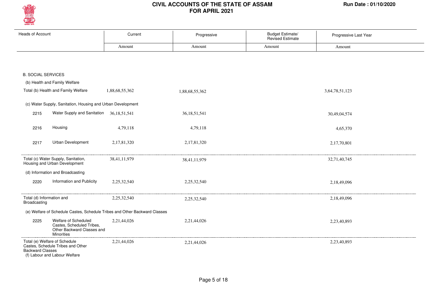

| <b>Heads of Account</b>                   |                                                                                                      | Current        | Progressive     | Budget Estimate/<br>Revised Estimate | Progressive Last Year |  |
|-------------------------------------------|------------------------------------------------------------------------------------------------------|----------------|-----------------|--------------------------------------|-----------------------|--|
|                                           |                                                                                                      | Amount         | Amount          | Amount                               | Amount                |  |
|                                           |                                                                                                      |                |                 |                                      |                       |  |
| <b>B. SOCIAL SERVICES</b>                 |                                                                                                      |                |                 |                                      |                       |  |
|                                           | (b) Health and Family Welfare                                                                        |                |                 |                                      |                       |  |
|                                           | Total (b) Health and Family Welfare                                                                  | 1,88,68,55,362 | 1,88,68,55,362  |                                      | 3,64,78,51,123        |  |
|                                           | (c) Water Supply, Sanitation, Housing and Urban Development                                          |                |                 |                                      |                       |  |
| 2215                                      | Water Supply and Sanitation 36,18,51,541                                                             |                | 36, 18, 51, 541 |                                      | 30,49,04,574          |  |
| 2216                                      | Housing                                                                                              | 4,79,118       | 4,79,118        |                                      | 4,65,370              |  |
| 2217                                      | Urban Development                                                                                    | 2,17,81,320    | 2,17,81,320     |                                      | 2,17,70,801           |  |
|                                           | Total (c) Water Supply, Sanitation,<br>Housing and Urban Development                                 | 38,41,11,979   | 38,41,11,979    |                                      | 32,71,40,745          |  |
|                                           | (d) Information and Broadcasting                                                                     |                |                 |                                      |                       |  |
| 2220                                      | Information and Publicity                                                                            | 2,25,32,540    | 2,25,32,540     |                                      | 2,18,49,096           |  |
| Total (d) Information and<br>Broadcasting |                                                                                                      | 2,25,32,540    | 2,25,32,540     |                                      | 2,18,49,096           |  |
|                                           | (e) Welfare of Schedule Castes, Schedule Tribes and Other Backward Classes                           |                |                 |                                      |                       |  |
| 2225                                      | Welfare of Scheduled<br>Castes, Scheduled Tribes,<br>Other Backward Classes and<br><b>Minorities</b> | 2,21,44,026    | 2,21,44,026     |                                      | 2,23,40,893           |  |
| <b>Backward Classes</b>                   | Total (e) Welfare of Schedule<br>Castes, Schedule Tribes and Other<br>(f) Labour and Labour Welfare  | 2,21,44,026    | 2,21,44,026     |                                      | 2,23,40,893           |  |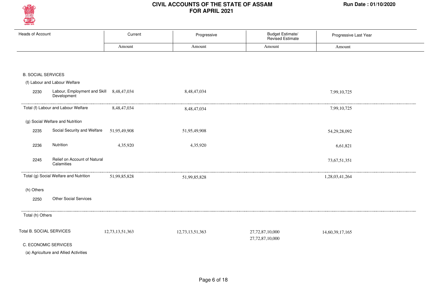

| <b>Heads of Account</b>   |                                                               | Current         | Progressive     | Budget Estimate/<br>Revised Estimate | Progressive Last Year |
|---------------------------|---------------------------------------------------------------|-----------------|-----------------|--------------------------------------|-----------------------|
|                           |                                                               | Amount          | Amount          | Amount                               | Amount                |
|                           |                                                               |                 |                 |                                      |                       |
| <b>B. SOCIAL SERVICES</b> |                                                               |                 |                 |                                      |                       |
|                           | (f) Labour and Labour Welfare                                 |                 |                 |                                      |                       |
| 2230                      | Labour, Employment and Skill 8,48,47,034<br>Development       |                 | 8,48,47,034     |                                      | 7,99,10,725           |
|                           | Total (f) Labour and Labour Welfare                           | 8,48,47,034     | 8,48,47,034     |                                      | 7,99,10,725           |
|                           | (g) Social Welfare and Nutrition                              |                 |                 |                                      |                       |
| 2235                      | Social Security and Welfare                                   | 51,95,49,908    | 51,95,49,908    |                                      | 54, 29, 28, 092       |
| 2236                      | Nutrition                                                     | 4,35,920        | 4,35,920        |                                      | 6,61,821              |
| 2245                      | Relief on Account of Natural<br>Calamities                    |                 |                 |                                      | 73,67,51,351          |
|                           | Total (g) Social Welfare and Nutrition                        | 51,99,85,828    | 51,99,85,828    |                                      | 1,28,03,41,264        |
| (h) Others                |                                                               |                 |                 |                                      |                       |
| 2250                      | <b>Other Social Services</b>                                  |                 |                 |                                      |                       |
| Total (h) Others          |                                                               |                 |                 |                                      |                       |
| Total B. SOCIAL SERVICES  | C. ECONOMIC SERVICES<br>(a) Agriculture and Allied Activities | 12,73,13,51,363 | 12,73,13,51,363 | 27,72,87,10,000<br>27,72,87,10,000   | 14,60,39,17,165       |
|                           |                                                               |                 |                 |                                      |                       |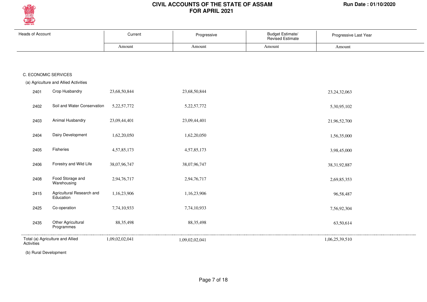

| <b>Heads of Account</b> |                                        | Current        | Progressive    | <b>Budget Estimate/</b><br>Revised Estimate | Progressive Last Year |  |
|-------------------------|----------------------------------------|----------------|----------------|---------------------------------------------|-----------------------|--|
|                         |                                        | Amount         | Amount         | Amount                                      | Amount                |  |
|                         |                                        |                |                |                                             |                       |  |
|                         | C. ECONOMIC SERVICES                   |                |                |                                             |                       |  |
|                         | (a) Agriculture and Allied Activities  |                |                |                                             |                       |  |
| 2401                    | Crop Husbandry                         | 23,68,50,844   | 23,68,50,844   |                                             | 23, 24, 32, 063       |  |
| 2402                    | Soil and Water Conservation            | 5, 22, 57, 772 | 5, 22, 57, 772 |                                             | 5,30,95,102           |  |
| 2403                    | Animal Husbandry                       | 23,09,44,401   | 23,09,44,401   |                                             | 21,96,52,700          |  |
| 2404                    | Dairy Development                      | 1,62,20,050    | 1,62,20,050    |                                             | 1,56,35,000           |  |
| 2405                    | Fisheries                              | 4,57,85,173    | 4,57,85,173    |                                             | 3,98,45,000           |  |
| 2406                    | Forestry and Wild Life                 | 38,07,96,747   | 38,07,96,747   |                                             | 38, 31, 92, 887       |  |
| 2408                    | Food Storage and<br>Warehousing        | 2,94,76,717    | 2,94,76,717    |                                             | 2,69,85,353           |  |
| 2415                    | Agricultural Research and<br>Education | 1,16,23,906    | 1,16,23,906    |                                             | 96,58,487             |  |
| 2425                    | Co-operation                           | 7,74,10,933    | 7,74,10,933    |                                             | 7,56,92,304           |  |
| 2435                    | Other Agricultural<br>Programmes       | 88, 35, 498    | 88, 35, 498    |                                             | 63,50,614             |  |
| Activities              | Total (a) Agriculture and Allied       | 1,09,02,02,041 | 1,09,02,02,041 |                                             | 1,06,25,39,510        |  |

(b) Rural Development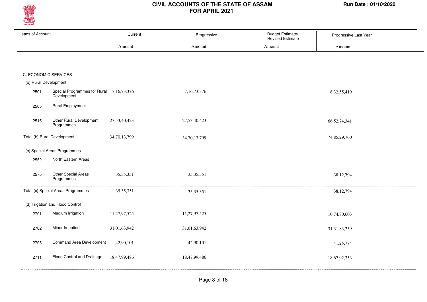

| <b>Heads of Account</b> |                                                         | Current      | Progressive    | Budget Estimate/<br>Revised Estimate | Progressive Last Year |  |
|-------------------------|---------------------------------------------------------|--------------|----------------|--------------------------------------|-----------------------|--|
|                         |                                                         | Amount       | Amount         | Amount                               | Amount                |  |
|                         |                                                         |              |                |                                      |                       |  |
| C. ECONOMIC SERVICES    |                                                         |              |                |                                      |                       |  |
| (b) Rural Development   |                                                         |              |                |                                      |                       |  |
| 2501                    | Special Programmes for Rural 7,16,73,376<br>Development |              | 7, 16, 73, 376 |                                      | 8, 32, 55, 419        |  |
| 2505                    | <b>Rural Employment</b>                                 |              |                |                                      |                       |  |
| 2515                    | Other Rural Development<br>Programmes                   | 27,53,40,423 | 27,53,40,423   |                                      | 66,52,74,341          |  |
|                         | Total (b) Rural Development                             | 34,70,13,799 | 34,70,13,799   |                                      | 74,85,29,760          |  |
|                         | (c) Special Areas Programmes                            |              |                |                                      |                       |  |
| 2552                    | North Eastern Areas                                     |              |                |                                      |                       |  |
| 2575                    | Other Special Areas<br>Programmes                       | 35, 35, 351  | 35, 35, 351    |                                      | 38,12,794             |  |
|                         | Total (c) Special Areas Programmes                      | 35, 35, 351  | 35, 35, 351    |                                      | 38,12,794             |  |
|                         | (d) Irrigation and Flood Control                        |              |                |                                      |                       |  |
| 2701                    | Medium Irrigation                                       | 11,27,97,525 | 11,27,97,525   |                                      | 10,74,80,603          |  |
| 2702                    | Minor Irrigation                                        | 31,01,63,942 | 31,01,63,942   |                                      | 31, 31, 83, 259       |  |
| 2705                    | <b>Command Area Development</b>                         | 42,90,101    | 42,90,101      |                                      | 41,25,774             |  |
| 2711                    | Flood Control and Drainage                              | 18,47,99,486 | 18,47,99,486   |                                      | 18,67,92,353          |  |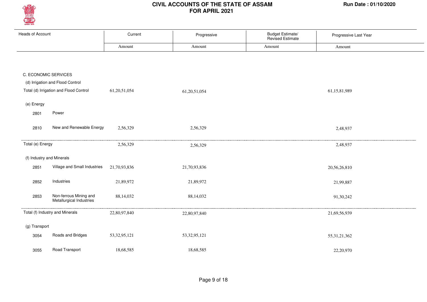

| <b>Heads of Account</b> |                                                    | Current         | Progressive     | <b>Budget Estimate/</b><br>Revised Estimate | Progressive Last Year |  |
|-------------------------|----------------------------------------------------|-----------------|-----------------|---------------------------------------------|-----------------------|--|
|                         |                                                    | Amount          | Amount          | Amount                                      | Amount                |  |
|                         |                                                    |                 |                 |                                             |                       |  |
|                         | C. ECONOMIC SERVICES                               |                 |                 |                                             |                       |  |
|                         | (d) Irrigation and Flood Control                   |                 |                 |                                             |                       |  |
|                         | Total (d) Irrigation and Flood Control             | 61,20,51,054    | 61,20,51,054    |                                             | 61,15,81,989          |  |
| (e) Energy              |                                                    |                 |                 |                                             |                       |  |
| 2801                    | Power                                              |                 |                 |                                             |                       |  |
| 2810                    | New and Renewable Energy                           | 2,56,329        | 2,56,329        |                                             | 2,48,937              |  |
| Total (e) Energy        |                                                    | 2,56,329        | 2,56,329        |                                             | 2,48,937              |  |
|                         | (f) Industry and Minerals                          |                 |                 |                                             |                       |  |
| 2851                    | Village and Small Industries                       | 21,70,93,836    | 21,70,93,836    |                                             | 20,56,26,810          |  |
| 2852                    | Industries                                         | 21,89,972       | 21,89,972       |                                             | 21,99,887             |  |
| 2853                    | Non-ferrous Mining and<br>Metallurgical Industries | 88,14,032       | 88,14,032       |                                             | 91,30,242             |  |
|                         | Total (f) Industry and Minerals                    | 22,80,97,840    | 22,80,97,840    |                                             | 21,69,56,939          |  |
| (g) Transport           |                                                    |                 |                 |                                             |                       |  |
| 3054                    | Roads and Bridges                                  | 53, 32, 95, 121 | 53, 32, 95, 121 |                                             | 55, 31, 21, 362       |  |
| 3055                    | Road Transport                                     | 18,68,585       | 18,68,585       |                                             | 22,20,970             |  |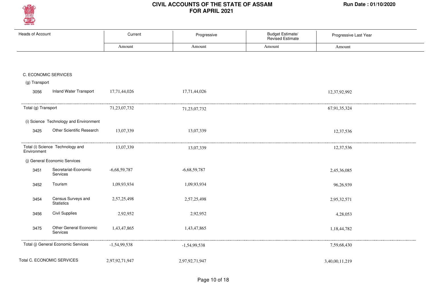

| <b>Heads of Account</b> |                                           | Current        | Progressive    | Budget Estimate/<br>Revised Estimate | Progressive Last Year |  |
|-------------------------|-------------------------------------------|----------------|----------------|--------------------------------------|-----------------------|--|
|                         |                                           | Amount         | Amount         | Amount                               | Amount                |  |
|                         |                                           |                |                |                                      |                       |  |
|                         | C. ECONOMIC SERVICES                      |                |                |                                      |                       |  |
| (g) Transport           |                                           |                |                |                                      |                       |  |
| 3056                    | <b>Inland Water Transport</b>             | 17,71,44,026   | 17,71,44,026   |                                      | 12,37,92,992          |  |
| Total (g) Transport     |                                           | 71,23,07,732   | 71,23,07,732   |                                      | 67,91,35,324          |  |
|                         | (i) Science Technology and Environment    |                |                |                                      |                       |  |
| 3425                    | Other Scientific Research                 | 13,07,339      | 13,07,339      |                                      | 12,37,536             |  |
| Environment             | Total (i) Science Technology and          | 13,07,339      | 13,07,339      |                                      | 12,37,536             |  |
|                         | (j) General Economic Services             |                |                |                                      |                       |  |
| 3451                    | Secretariat-Economic<br>Services          | $-6,68,59,787$ | $-6,68,59,787$ |                                      | 2,45,36,085           |  |
| 3452                    | Tourism                                   | 1,09,93,934    | 1,09,93,934    |                                      | 96,26,939             |  |
| 3454                    | Census Surveys and<br><b>Statistics</b>   | 2,57,25,498    | 2,57,25,498    |                                      | 2,95,32,571           |  |
| 3456                    | <b>Civil Supplies</b>                     | 2,92,952       | 2,92,952       |                                      | 4,28,053              |  |
| 3475                    | Other General Economic<br><b>Services</b> | 1,43,47,865    | 1,43,47,865    |                                      | 1,18,44,782           |  |
|                         | Total (j) General Economic Services       | $-1,54,99,538$ | $-1,54,99,538$ |                                      | 7,59,68,430           |  |
|                         | Total C. ECONOMIC SERVICES                | 2,97,92,71,947 | 2,97,92,71,947 |                                      | 3,40,00,11,219        |  |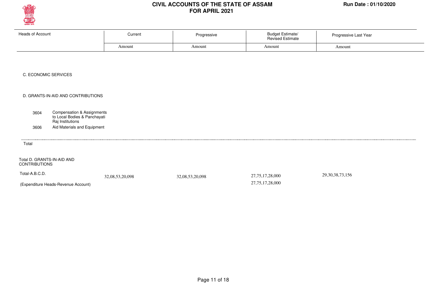

| <b>Heads of Account</b>                                                                           | Current         | Progressive     | Budget Estimate/<br>Revised Estimate   | Progressive Last Year |  |
|---------------------------------------------------------------------------------------------------|-----------------|-----------------|----------------------------------------|-----------------------|--|
|                                                                                                   | Amount          | Amount          | Amount                                 | Amount                |  |
|                                                                                                   |                 |                 |                                        |                       |  |
| C. ECONOMIC SERVICES                                                                              |                 |                 |                                        |                       |  |
| D. GRANTS-IN-AID AND CONTRIBUTIONS                                                                |                 |                 |                                        |                       |  |
| <b>Compensation &amp; Assignments</b><br>3604<br>to Local Bodies & Panchayati<br>Raj Institutions |                 |                 |                                        |                       |  |
| Aid Materials and Equipment<br>3606                                                               |                 |                 |                                        |                       |  |
| Total                                                                                             |                 |                 |                                        |                       |  |
| Total D. GRANTS-IN-AID AND<br><b>CONTRIBUTIONS</b>                                                |                 |                 |                                        |                       |  |
| Total-A.B.C.D.<br>(Expenditure Heads-Revenue Account)                                             | 32,08,53,20,098 | 32,08,53,20,098 | 27, 75, 17, 28, 000<br>27,75,17,28,000 | 29, 30, 38, 73, 156   |  |
|                                                                                                   |                 |                 |                                        |                       |  |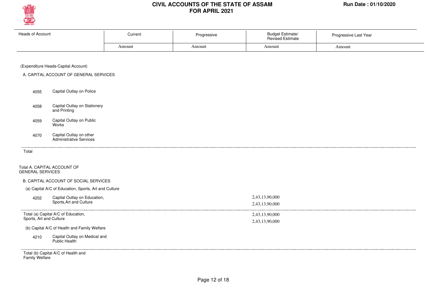

| Heads of Account | Current<br>- - - - | Progressive | <b>Budget Estimate/</b><br><b>Revised Estimate</b> | Progressive Last Year |
|------------------|--------------------|-------------|----------------------------------------------------|-----------------------|
|                  | Amount             | Amount      | Amount                                             | Amount                |
|                  |                    |             |                                                    |                       |

#### (Expenditure Heads-Capital Account)

- A. CAPITAL ACCOUNT OF GENERAL SERVICES
	- Capital Outlay on Police 4055
	- Capital Outlay on Stationery and Printing 4058
	- Capital Outlay on Public Works 4059
	- Capital Outlay on other Administrative Services 4070

Total

. . . .

#### Total A. CAPITAL ACCOUNT OF GENERAL SERVICES

#### B. CAPITAL ACCOUNT OF SOCIAL SERVICES

(a) Capital A/C of Education, Sports, Art and Culture

| 4202 | Capital Outlay on Education,<br>Sports, Art and Culture                                                                                                                                                                                                                                                                          | 2,43,13,90,000 |
|------|----------------------------------------------------------------------------------------------------------------------------------------------------------------------------------------------------------------------------------------------------------------------------------------------------------------------------------|----------------|
|      |                                                                                                                                                                                                                                                                                                                                  | 2,43,13,90,000 |
|      | Total (a) Capital A/C of Education,<br>Sports, Art and Culture                                                                                                                                                                                                                                                                   | 2,43,13,90,000 |
|      |                                                                                                                                                                                                                                                                                                                                  | 2,43,13,90,000 |
|      | (b) Capital A/C of Health and Family Welfare                                                                                                                                                                                                                                                                                     |                |
| 4210 | Capital Outlay on Medical and<br>Public Health                                                                                                                                                                                                                                                                                   |                |
|      | $\tau$ , $\theta$ and $\theta$ and $\theta$ and $\theta$ and $\theta$ and $\theta$ and $\theta$ and $\theta$ and $\theta$ and $\theta$ and $\theta$ and $\theta$ and $\theta$ and $\theta$ and $\theta$ and $\theta$ and $\theta$ and $\theta$ and $\theta$ and $\theta$ and $\theta$ and $\theta$ and $\theta$ and $\theta$ and |                |

Total (b) Capital A/C of Health and Family Welfare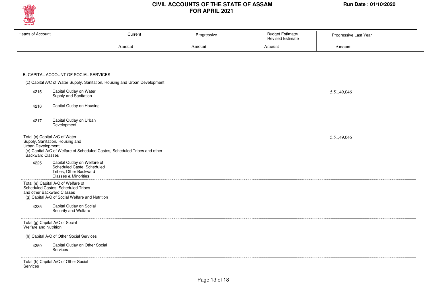

| Heads of Account                                                        |                                                                                                                                                            | Current                                                                    | Progressive | <b>Budget Estimate/</b><br>Revised Estimate | Progressive Last Year |
|-------------------------------------------------------------------------|------------------------------------------------------------------------------------------------------------------------------------------------------------|----------------------------------------------------------------------------|-------------|---------------------------------------------|-----------------------|
|                                                                         |                                                                                                                                                            | Amount                                                                     | Amount      | Amount                                      | Amount                |
|                                                                         |                                                                                                                                                            |                                                                            |             |                                             |                       |
|                                                                         | B. CAPITAL ACCOUNT OF SOCIAL SERVICES                                                                                                                      |                                                                            |             |                                             |                       |
|                                                                         |                                                                                                                                                            | (c) Capital A/C of Water Supply, Sanitation, Housing and Urban Development |             |                                             |                       |
| 4215                                                                    | Capital Outlay on Water<br>Supply and Sanitation                                                                                                           |                                                                            |             |                                             | 5,51,49,046           |
| 4216                                                                    | Capital Outlay on Housing                                                                                                                                  |                                                                            |             |                                             |                       |
| 4217                                                                    | Capital Outlay on Urban<br>Development                                                                                                                     |                                                                            |             |                                             |                       |
|                                                                         |                                                                                                                                                            |                                                                            |             |                                             |                       |
| Total (c) Capital A/C of Water<br>Urban Development<br>Backward Classes | Supply, Sanitation, Housing and                                                                                                                            | (e) Capital A/C of Welfare of Scheduled Castes, Scheduled Tribes and other |             |                                             | 5,51,49,046           |
| 4225                                                                    | Capital Outlay on Welfare of<br>Scheduled Caste, Scheduled<br>Tribes, Other Backward<br>Classes & Minorities                                               |                                                                            |             |                                             |                       |
|                                                                         | Total (e) Capital A/C of Welfare of<br>Scheduled Castes, Scheduled Tribes<br>and other Backward Classes<br>(g) Capital A/C of Social Welfare and Nutrition |                                                                            |             |                                             |                       |
| 4235                                                                    | Capital Outlay on Social<br>Security and Welfare                                                                                                           |                                                                            |             |                                             |                       |
| Welfare and Nutrition                                                   | Total (g) Capital A/C of Social                                                                                                                            |                                                                            |             |                                             |                       |
|                                                                         | (h) Capital A/C of Other Social Services                                                                                                                   |                                                                            |             |                                             |                       |

**Services**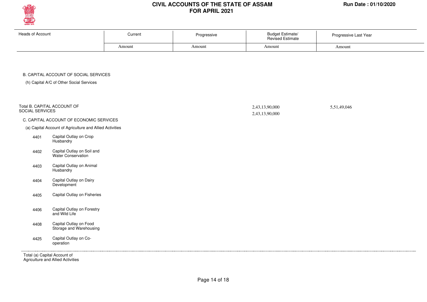

| <b>Heads of Account</b> | Current<br>. | Progressive | <b>Budget Estimate/</b><br><b>Revised Estimate</b> | Progressive Last Year |
|-------------------------|--------------|-------------|----------------------------------------------------|-----------------------|
|                         | Amount       | Amount      | Amount                                             | Amount                |
|                         |              |             |                                                    |                       |

#### B. CAPITAL ACCOUNT OF SOCIAL SERVICES

(h) Capital A/C of Other Social Services

| SOCIAL SERVICES              | Total B. CAPITAL ACCOUNT OF                              | 2,43,13,90,000<br>2,43,13,90,000 | 5,51,49,046 |  |
|------------------------------|----------------------------------------------------------|----------------------------------|-------------|--|
|                              | C. CAPITAL ACCOUNT OF ECONOMIC SERVICES                  |                                  |             |  |
|                              | (a) Capital Account of Agriculture and Allied Activities |                                  |             |  |
| 4401                         | Capital Outlay on Crop<br>Husbandry                      |                                  |             |  |
| 4402                         | Capital Outlay on Soil and<br>Water Conservation         |                                  |             |  |
| 4403                         | Capital Outlay on Animal<br>Husbandry                    |                                  |             |  |
| 4404                         | Capital Outlay on Dairy<br>Development                   |                                  |             |  |
| 4405                         | Capital Outlay on Fisheries                              |                                  |             |  |
| 4406                         | Capital Outlay on Forestry<br>and Wild Life              |                                  |             |  |
| 4408                         | Capital Outlay on Food<br>Storage and Warehousing        |                                  |             |  |
| 4425                         | Capital Outlay on Co-<br>operation                       |                                  |             |  |
| Total (a) Capital Account of |                                                          |                                  |             |  |

Agriculture and Allied Activities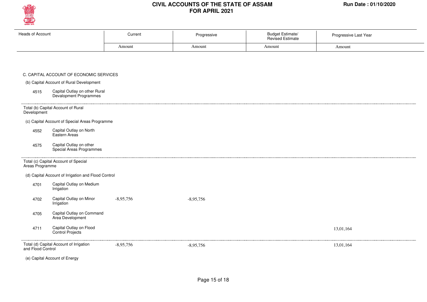

Progressive Last Year

| Heads of Account |                                                              | Current     | Progressive | <b>Budget Estimate/</b><br>Revised Estimate | Progressive Last Year |  |
|------------------|--------------------------------------------------------------|-------------|-------------|---------------------------------------------|-----------------------|--|
|                  |                                                              | Amount      | Amount      | Amount                                      | Amount                |  |
|                  |                                                              |             |             |                                             |                       |  |
|                  |                                                              |             |             |                                             |                       |  |
|                  | C. CAPITAL ACCOUNT OF ECONOMIC SERVICES                      |             |             |                                             |                       |  |
|                  | (b) Capital Account of Rural Development                     |             |             |                                             |                       |  |
| 4515             | Capital Outlay on other Rural<br>Devalopment Programmes      |             |             |                                             |                       |  |
| Development      | Total (b) Capital Account of Rural                           |             |             |                                             |                       |  |
|                  | (c) Capital Account of Special Areas Programme               |             |             |                                             |                       |  |
| 4552             | Capital Outlay on North<br>Eastern Areas                     |             |             |                                             |                       |  |
| 4575             | Capital Outlay on other<br>Special Areas Programmes          |             |             |                                             |                       |  |
| Areas Programme  | Total (c) Capital Account of Special                         |             |             |                                             |                       |  |
|                  | (d) Capital Account of Irrigation and Flood Control          |             |             |                                             |                       |  |
| 4701             | Capital Outlay on Medium<br>Irrigation                       |             |             |                                             |                       |  |
| 4702             | Capital Outlay on Minor<br>Irrigation                        | $-8,95,756$ | $-8,95,756$ |                                             |                       |  |
| 4705             | Capital Outlay on Command<br>Area Development                |             |             |                                             |                       |  |
| 4711             | Capital Outlay on Flood<br>Control Projects                  |             |             |                                             | 13,01,164             |  |
|                  | Total (d) Capital Account of Irrigation<br>and Flood Control | $-8,95,756$ | $-8,95,756$ |                                             | 13,01,164             |  |
|                  | (e) Capital Account of Energy                                |             |             |                                             |                       |  |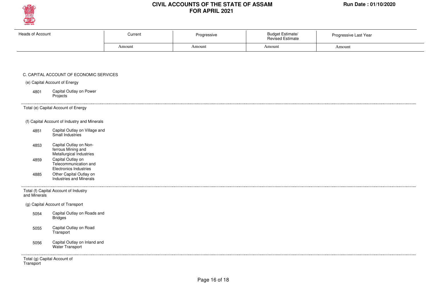

. . . . . . . .

## **CIVIL ACCOUNTS OF THE STATE OF ASSAM Run Date : 01/10/2020 FOR APRIL 2021**

| <b>Heads of Account</b> | Current | Progressive | <b>Budget Estimate/</b><br><b>Revised Estimate</b> | Progressive Last Year                           |
|-------------------------|---------|-------------|----------------------------------------------------|-------------------------------------------------|
|                         | Amount  | Amount      | Amount                                             | Amount                                          |
|                         |         |             |                                                    | the contract of the contract of the contract of |

#### C. CAPITAL ACCOUNT OF ECONOMIC SERVICES

#### (e) Capital Account of Energy

Capital Outlay on Power Projects 4801

Total (e) Capital Account of Energy

#### (f) Capital Account of Industry and Minerals

- Capital Outlay on Village and Small Industries 4851
- Capital Outlay on Nonferrous Mining and Metallurgical Industries 4853
- Capital Outlay on Telecommunication and Electronics Industries Other Capital Outlay on 4859 4885
- Industries and Minerals

Total (f) Capital Account of Industry and Minerals

(g) Capital Account of Transport

- Capital Outlay on Roads and **Bridges** 5054
- Capital Outlay on Road **Transport** 5055
- Capital Outlay on Inland and Water Transport 5056

Total (g) Capital Account of **Transport**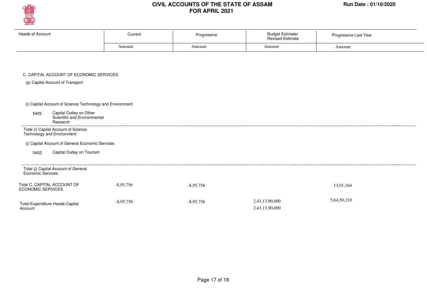

| Heads of Account | Current |        | <b>Budget Estimate/</b><br><b>Revised Estimate</b> | Progressive Last Year |
|------------------|---------|--------|----------------------------------------------------|-----------------------|
|                  | Amount  | Amount | Amount                                             | Amount                |

#### C. CAPITAL ACCOUNT OF ECONOMIC SERVICES

(g) Capital Account of Transport

(i) Capital Account of Science Technology and Environment

Capital Outlay on Other Scientific and Environmental Research 5425

Total (i) Capital Account of Science Technology and Environment

(j) Capital Account of General Economic Services

Capital Outlay on Tourism 5452

| Total (j) Capital Account of General<br>Economic Services |             |             |                                  |             |  |
|-----------------------------------------------------------|-------------|-------------|----------------------------------|-------------|--|
| Total C. CAPITAL ACCOUNT OF<br><b>ECONOMIC SERVICES</b>   | $-8,95,756$ | $-8,95,756$ |                                  | 13.01.164   |  |
| Total-Expenditure Heads-Capital<br>Account                | $-8,95,756$ | $-8.95.756$ | 2,43,13,90,000<br>2,43,13,90,000 | 5,64,50,210 |  |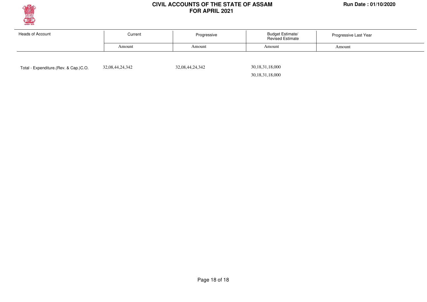

| Heads of Account | Current<br>Progressive<br>Amount<br>Amount |  | <b>Budget Estimate/</b><br><b>Revised Estimate</b> | Progressive Last Year |  |
|------------------|--------------------------------------------|--|----------------------------------------------------|-----------------------|--|
|                  |                                            |  | Amount                                             | Amount                |  |
|                  |                                            |  |                                                    |                       |  |

Total - Expenditure.(Rev. & Cap.)C.O. 32,08,44,24,342 32,08,44,24,342

 30,18,31,18,000 30,18,31,18,000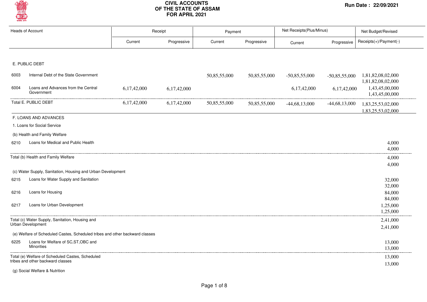

| <b>Heads of Account</b> |                                                                              | Receipt     |             | Payment      |              | Net Receipts(Plus/Minus) |                 | Net Budget/Revised                     |  |
|-------------------------|------------------------------------------------------------------------------|-------------|-------------|--------------|--------------|--------------------------|-----------------|----------------------------------------|--|
|                         |                                                                              | Current     | Progressive | Current      | Progressive  | Current                  | Progressive     | Receipts(+)/Payment(-)                 |  |
|                         |                                                                              |             |             |              |              |                          |                 |                                        |  |
|                         | E. PUBLIC DEBT                                                               |             |             |              |              |                          |                 |                                        |  |
| 6003                    | Internal Debt of the State Government                                        |             |             | 50,85,55,000 | 50,85,55,000 | $-50,85,55,000$          | $-50,85,55,000$ | 1,81,82,08,02,000<br>1,81,82,08,02,000 |  |
| 6004                    | Loans and Advances from the Central<br>Government                            | 6,17,42,000 | 6,17,42,000 |              |              | 6,17,42,000              | 6,17,42,000     | 1,43,45,00,000<br>1,43,45,00,000       |  |
|                         | Total E. PUBLIC DEBT                                                         | 6,17,42,000 | 6,17,42,000 | 50,85,55,000 | 50,85,55,000 | $-44,68,13,000$          | $-44,68,13,000$ | 1,83,25,53,02,000<br>1,83,25,53,02,000 |  |
|                         | F. LOANS AND ADVANCES                                                        |             |             |              |              |                          |                 |                                        |  |
|                         | 1. Loans for Social Service                                                  |             |             |              |              |                          |                 |                                        |  |
|                         | (b) Health and Family Welfare                                                |             |             |              |              |                          |                 |                                        |  |
| 6210                    | Loans for Medical and Public Health                                          |             |             |              |              |                          |                 | 4,000<br>4,000                         |  |
|                         | Total (b) Health and Family Welfare                                          |             |             |              |              |                          |                 | 4,000                                  |  |
|                         |                                                                              |             |             |              |              |                          |                 | 4,000                                  |  |
|                         | (c) Water Supply, Sanitation, Housing and Urban Development                  |             |             |              |              |                          |                 |                                        |  |
| 6215                    | Loans for Water Supply and Sanitation                                        |             |             |              |              |                          |                 | 32,000                                 |  |
| 6216                    | Loans for Housing                                                            |             |             |              |              |                          |                 | 32,000<br>84,000                       |  |
|                         |                                                                              |             |             |              |              |                          |                 | 84,000                                 |  |
| 6217                    | Loans for Urban Development                                                  |             |             |              |              |                          |                 | 1,25,000<br>1,25,000                   |  |
|                         | Total (c) Water Supply, Sanitation, Housing and                              |             |             |              |              |                          |                 | 2,41,000                               |  |
|                         | Urban Development                                                            |             |             |              |              |                          |                 | 2,41,000                               |  |
|                         | (e) Welfare of Scheduled Castes, Scheduled tribes and other backward classes |             |             |              |              |                          |                 |                                        |  |
| 6225                    | Loans for Welfare of SC, ST, OBC and<br><b>Minorities</b>                    |             |             |              |              |                          |                 | 13,000<br>13,000                       |  |
|                         | Total (e) Welfare of Scheduled Castes, Scheduled                             |             |             |              |              |                          |                 | 13,000                                 |  |
|                         | tribes and other backward classes                                            |             |             |              |              |                          |                 | 13,000                                 |  |

(g) Social Welfare & Nutrition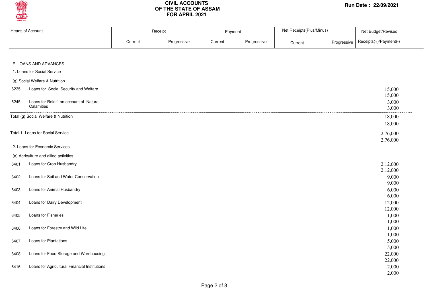

| <b>Heads of Account</b> |                                                      |         | Receipt     | Payment |             | Net Receipts(Plus/Minus) |             | Net Budget/Revised     |  |
|-------------------------|------------------------------------------------------|---------|-------------|---------|-------------|--------------------------|-------------|------------------------|--|
|                         |                                                      | Current | Progressive | Current | Progressive | Current                  | Progressive | Receipts(+)/Payment(-) |  |
|                         |                                                      |         |             |         |             |                          |             |                        |  |
|                         | F. LOANS AND ADVANCES                                |         |             |         |             |                          |             |                        |  |
|                         | 1. Loans for Social Service                          |         |             |         |             |                          |             |                        |  |
|                         | (g) Social Welfare & Nutrition                       |         |             |         |             |                          |             |                        |  |
| 6235                    | Loans for Social Security and Welfare                |         |             |         |             |                          |             | 15,000                 |  |
|                         |                                                      |         |             |         |             |                          |             | 15,000                 |  |
| 6245                    | Loans for Releif on account of Natural<br>Calamities |         |             |         |             |                          |             | 3,000                  |  |
|                         |                                                      |         |             |         |             |                          |             | 3,000                  |  |
|                         | Total (g) Social Welfare & Nutrition                 |         |             |         |             |                          |             | 18,000                 |  |
|                         |                                                      |         |             |         |             |                          |             | 18,000                 |  |
|                         | Total 1. Loans for Social Service                    |         |             |         |             |                          |             | 2,76,000               |  |
|                         |                                                      |         |             |         |             |                          |             | 2,76,000               |  |
|                         | 2. Loans for Economic Services                       |         |             |         |             |                          |             |                        |  |
|                         | (a) Agriculture and allied activities                |         |             |         |             |                          |             |                        |  |
| 6401                    | Loans for Crop Husbandry                             |         |             |         |             |                          |             | 2,12,000               |  |
|                         |                                                      |         |             |         |             |                          |             | 2,12,000               |  |
| 6402                    | Loans for Soil and Water Conservation                |         |             |         |             |                          |             | 9,000                  |  |
|                         |                                                      |         |             |         |             |                          |             | 9,000                  |  |
| 6403                    | Loans for Animal Husbandry                           |         |             |         |             |                          |             | 6,000                  |  |
|                         |                                                      |         |             |         |             |                          |             | 6,000                  |  |
| 6404                    | Loans for Dairy Development                          |         |             |         |             |                          |             | 12,000<br>12,000       |  |
| 6405                    | Loans for Fisheries                                  |         |             |         |             |                          |             | 1,000                  |  |
|                         |                                                      |         |             |         |             |                          |             | 1,000                  |  |
| 6406                    | Loans for Forestry and Wild Life                     |         |             |         |             |                          |             | 1,000                  |  |
|                         |                                                      |         |             |         |             |                          |             | 1,000                  |  |
| 6407                    | Loans for Plantations                                |         |             |         |             |                          |             | 5,000                  |  |
|                         |                                                      |         |             |         |             |                          |             | 5,000                  |  |
| 6408                    | Loans for Food Storage and Warehousing               |         |             |         |             |                          |             | 22,000                 |  |
|                         |                                                      |         |             |         |             |                          |             | 22,000                 |  |
| 6416                    | Loans for Agricultural Financial Institutions        |         |             |         |             |                          |             | 2,000<br>2,000         |  |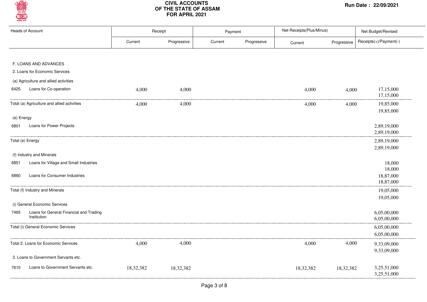

|            | <b>Heads of Account</b>                                |           | Receipt     | Payment |             | Net Receipts(Plus/Minus) |             | Net Budget/Revised         |
|------------|--------------------------------------------------------|-----------|-------------|---------|-------------|--------------------------|-------------|----------------------------|
|            |                                                        | Current   | Progressive | Current | Progressive | Current                  | Progressive | Receipts(+)/Payment(-)     |
|            |                                                        |           |             |         |             |                          |             |                            |
|            | F. LOANS AND ADVANCES                                  |           |             |         |             |                          |             |                            |
|            | 2. Loans for Economic Services                         |           |             |         |             |                          |             |                            |
|            | (a) Agriculture and allied activities                  |           |             |         |             |                          |             |                            |
| 6425       | Loans for Co-operation                                 | 4,000     | 4,000       |         |             | 4,000                    | 4,000       | 17,15,000<br>17,15,000     |
|            | Total (a) Agriculture and allied activities            | 4,000     | 4,000       |         |             | 4,000                    | 4,000       | 19,85,000<br>19,85,000     |
| (e) Energy |                                                        |           |             |         |             |                          |             |                            |
| 6801       | Loans for Power Projects                               |           |             |         |             |                          |             | 2,89,19,000<br>2,89,19,000 |
|            | Total (e) Energy                                       |           |             |         |             |                          |             | 2,89,19,000<br>2,89,19,000 |
|            | (f) Industry and Minerals                              |           |             |         |             |                          |             |                            |
| 6851       | Loans for Village and Small Industries                 |           |             |         |             |                          |             | 18,000<br>18,000           |
| 6860       | Loans for Consumer Industries                          |           |             |         |             |                          |             | 18,87,000<br>18,87,000     |
|            | Total (f) Industry and Minerals                        |           |             |         |             |                          |             | 19,05,000                  |
|            | (i) General Economic Services                          |           |             |         |             |                          |             | 19,05,000                  |
| 7465       | Loans for General Financial and Trading<br>Institution |           |             |         |             |                          |             | 6,05,00,000<br>6,05,00,000 |
|            | Total (i) General Economic Services                    |           |             |         |             |                          |             | 6,05,00,000                |
|            |                                                        |           |             |         |             |                          |             | 6,05,00,000                |
|            | Total 2. Loans for Economic Services                   | 4,000     | 4,000       |         |             | 4,000                    | 4,000       | 9,33,09,000<br>9,33,09,000 |
|            | 3. Loans to Government Servants etc.                   |           |             |         |             |                          |             |                            |
| 7610       | Loans to Government Servants etc.                      | 18,32,382 | 18,32,382   |         |             | 18,32,382                | 18,32,382   | 3,25,51,000<br>3,25,51,000 |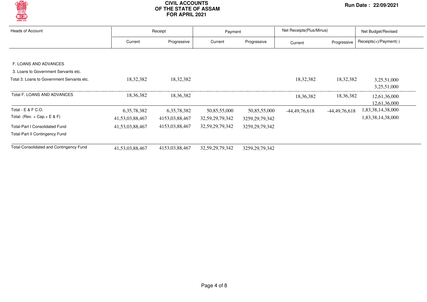

| Heads of Account                               |                 | Receipt        | Payment             |                   | Net Receipts (Plus/Minus) |                 | Net Budget/Revised       |  |
|------------------------------------------------|-----------------|----------------|---------------------|-------------------|---------------------------|-----------------|--------------------------|--|
|                                                | Current         | Progressive    | Current             | Progressive       | Current                   | Progressive     | $Receipts(+)/Payment(-)$ |  |
|                                                |                 |                |                     |                   |                           |                 |                          |  |
| F. LOANS AND ADVANCES                          |                 |                |                     |                   |                           |                 |                          |  |
| 3. Loans to Government Servants etc.           |                 |                |                     |                   |                           |                 |                          |  |
| Total 3. Loans to Government Servants etc.     | 18,32,382       | 18,32,382      |                     |                   | 18,32,382                 | 18,32,382       | 3,25,51,000              |  |
|                                                |                 |                |                     |                   |                           |                 | 3,25,51,000              |  |
| Total F. LOANS AND ADVANCES                    | 18, 36, 382     | 18,36,382      |                     |                   | 18,36,382                 | 18,36,382       | 12,61,36,000             |  |
|                                                |                 |                |                     |                   |                           |                 | 12,61,36,000             |  |
| Total - E & F C.O.                             | 6, 35, 78, 382  | 6, 35, 78, 382 | 50,85,55,000        | 50,85,55,000      | $-44,49,76,618$           | $-44,49,76,618$ | 1,83,38,14,38,000        |  |
| Total- (Rev. + Cap. + $E$ & F)                 | 41,53,03,88,467 | 4153,03,88,467 | 32,59,29,79,342     | 3259, 29, 79, 342 |                           |                 | 1,83,38,14,38,000        |  |
| <b>Total-Part I Consolidated Fund</b>          | 41,53,03,88,467 | 4153,03,88,467 | 32, 59, 29, 79, 342 | 3259, 29, 79, 342 |                           |                 |                          |  |
| <b>Total-Part II Contingency Fund</b>          |                 |                |                     |                   |                           |                 |                          |  |
| <b>Total-Consolidated and Contingency Fund</b> | 41,53,03,88,467 | 4153,03,88,467 | 32, 59, 29, 79, 342 | 3259, 29, 79, 342 |                           |                 |                          |  |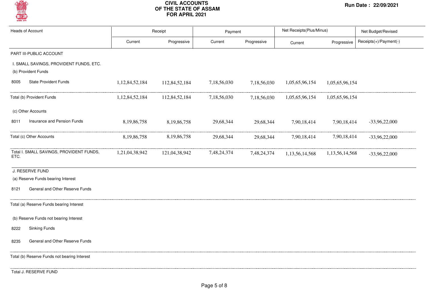

| <b>Heads of Account</b>                                        |                | Receipt        |             | Payment     | Net Receipts(Plus/Minus) |                    | Net Budget/Revised     |  |
|----------------------------------------------------------------|----------------|----------------|-------------|-------------|--------------------------|--------------------|------------------------|--|
|                                                                | Current        | Progressive    | Current     | Progressive | Current                  | Progressive        | Receipts(+)/Payment(-) |  |
| PART III-PUBLIC ACCOUNT                                        |                |                |             |             |                          |                    |                        |  |
| I. SMALL SAVINGS, PROVIDENT FUNDS, ETC.<br>(b) Provident Funds |                |                |             |             |                          |                    |                        |  |
| <b>State Provident Funds</b><br>8005                           | 1,12,84,52,184 | 112,84,52,184  | 7,18,56,030 | 7,18,56,030 | 1,05,65,96,154           | 1,05,65,96,154     |                        |  |
| Total (b) Provident Funds                                      | 1,12,84,52,184 | 112,84,52,184  | 7,18,56,030 | 7,18,56,030 | 1,05,65,96,154           | 1,05,65,96,154     |                        |  |
| (c) Other Accounts                                             |                |                |             |             |                          |                    |                        |  |
| Insurance and Pension Funds<br>8011                            | 8,19,86,758    | 8,19,86,758    | 29,68,344   | 29,68,344   | 7,90,18,414              | 7,90,18,414        | $-33,96,22,000$        |  |
| Total (c) Other Accounts                                       | 8,19,86,758    | 8, 19, 86, 758 | 29,68,344   | 29,68,344   | 7,90,18,414              | 7,90,18,414        | $-33,96,22,000$        |  |
| Total I. SMALL SAVINGS, PROVIDENT FUNDS,<br>ETC.               | 1,21,04,38,942 | 121,04,38,942  | 7,48,24,374 | 7,48,24,374 | 1,13,56,14,568           | 1, 13, 56, 14, 568 | $-33,96,22,000$        |  |
| J. RESERVE FUND                                                |                |                |             |             |                          |                    |                        |  |
| (a) Reserve Funds bearing Interest                             |                |                |             |             |                          |                    |                        |  |
| General and Other Reserve Funds<br>8121                        |                |                |             |             |                          |                    |                        |  |
| Total (a) Reserve Funds bearing Interest                       |                |                |             |             |                          |                    |                        |  |
| (b) Reserve Funds not bearing Interest                         |                |                |             |             |                          |                    |                        |  |
| <b>Sinking Funds</b><br>8222                                   |                |                |             |             |                          |                    |                        |  |
| General and Other Reserve Funds<br>8235                        |                |                |             |             |                          |                    |                        |  |
| Total (b) Reserve Funds not bearing Interest                   |                |                |             |             |                          |                    |                        |  |
| Total J. RESERVE FUND                                          |                |                |             |             |                          |                    |                        |  |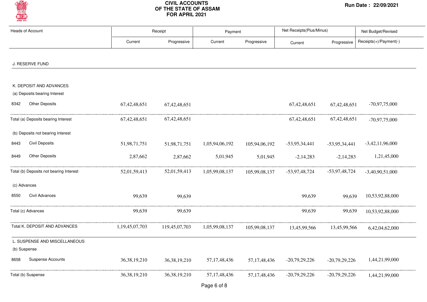

| <b>Heads of Account</b>                                  |                 | Receipt         |                 | Payment         | Net Receipts(Plus/Minus) |                 | Net Budget/Revised     |  |
|----------------------------------------------------------|-----------------|-----------------|-----------------|-----------------|--------------------------|-----------------|------------------------|--|
|                                                          | Current         | Progressive     | Current         | Progressive     | Current                  | Progressive     | Receipts(+)/Payment(-) |  |
| J. RESERVE FUND                                          |                 |                 |                 |                 |                          |                 |                        |  |
| K. DEPOSIT AND ADVANCES<br>(a) Deposits bearing Interest |                 |                 |                 |                 |                          |                 |                        |  |
| <b>Other Deposits</b><br>8342                            | 67, 42, 48, 651 | 67, 42, 48, 651 |                 |                 | 67, 42, 48, 651          | 67,42,48,651    | $-70,97,75,000$        |  |
| Total (a) Deposits bearing Interest                      | 67,42,48,651    | 67, 42, 48, 651 |                 |                 | 67, 42, 48, 651          | 67, 42, 48, 651 | $-70,97,75,000$        |  |
| (b) Deposits not bearing Interest                        |                 |                 |                 |                 |                          |                 |                        |  |
| <b>Civil Deposits</b><br>8443                            | 51,98,71,751    | 51,98,71,751    | 1,05,94,06,192  | 105,94,06,192   | $-53,95,34,441$          | $-53,95,34,441$ | $-3,42,11,96,000$      |  |
| Other Deposits<br>8449                                   | 2,87,662        | 2,87,662        | 5,01,945        | 5,01,945        | $-2,14,283$              | $-2,14,283$     | 1,21,45,000            |  |
| Total (b) Deposits not bearing Interest                  | 52,01,59,413    | 52,01,59,413    | 1,05,99,08,137  | 105,99,08,137   | $-53,97,48,724$          | -53,97,48,724   | $-3,40,90,51,000$      |  |
| (c) Advances                                             |                 |                 |                 |                 |                          |                 |                        |  |
| Civil Advances<br>8550                                   | 99,639          | 99,639          |                 |                 | 99,639                   | 99,639          | 10,53,92,88,000        |  |
| Total (c) Advances                                       | 99,639          | 99,639          |                 |                 | 99,639                   | 99,639          | 10,53,92,88,000        |  |
| Total K. DEPOSIT AND ADVANCES                            | 1,19,45,07,703  | 119,45,07,703   | 1,05,99,08,137  | 105,99,08,137   | 13,45,99,566             | 13,45,99,566    | 6,42,04,62,000         |  |
| L. SUSPENSE AND MISCELLANEOUS<br>(b) Suspense            |                 |                 |                 |                 |                          |                 |                        |  |
| <b>Suspense Accounts</b><br>8658                         | 36, 38, 19, 210 | 36, 38, 19, 210 | 57, 17, 48, 436 | 57, 17, 48, 436 | $-20,79,29,226$          | $-20,79,29,226$ | 1,44,21,99,000         |  |
| Total (b) Suspense                                       | 36, 38, 19, 210 | 36, 38, 19, 210 | 57, 17, 48, 436 | 57, 17, 48, 436 | $-20,79,29,226$          | $-20,79,29,226$ | 1,44,21,99,000         |  |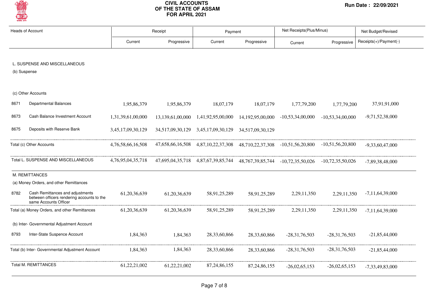

|              | <b>Heads of Account</b>                                                                                 |                   | Receipt          | Payment                                                                               |                 | Net Receipts(Plus/Minus)                   |                    | Net Budget/Revised     |
|--------------|---------------------------------------------------------------------------------------------------------|-------------------|------------------|---------------------------------------------------------------------------------------|-----------------|--------------------------------------------|--------------------|------------------------|
|              |                                                                                                         | Current           | Progressive      | Current                                                                               | Progressive     | Current                                    | Progressive        | Receipts(+)/Payment(-) |
|              |                                                                                                         |                   |                  |                                                                                       |                 |                                            |                    |                        |
|              | L. SUSPENSE AND MISCELLANEOUS                                                                           |                   |                  |                                                                                       |                 |                                            |                    |                        |
| (b) Suspense |                                                                                                         |                   |                  |                                                                                       |                 |                                            |                    |                        |
|              |                                                                                                         |                   |                  |                                                                                       |                 |                                            |                    |                        |
|              | (c) Other Accounts                                                                                      |                   |                  |                                                                                       |                 |                                            |                    |                        |
| 8671         | Departmental Balances                                                                                   | 1,95,86,379       | 1,95,86,379      | 18,07,179                                                                             | 18,07,179       | 1,77,79,200                                | 1,77,79,200        | 37,91,91,000           |
| 8673         | Cash Balance Investment Account                                                                         | 1,31,39,61,00,000 | 13,139,61,00,000 | 1,41,92,95,00,000                                                                     |                 | 14, 192, 95, 00, 000 - 10, 53, 34, 00, 000 | $-10,53,34,00,000$ | $-9,71,52,38,000$      |
| 8675         | Deposits with Reserve Bank                                                                              | 3,45,17,09,30,129 |                  |                                                                                       |                 |                                            |                    |                        |
|              | Total (c) Other Accounts                                                                                | 4,76,58,66,16,508 |                  | 47,658,66,16,508 4,87,10,22,37,308 48,710,22,37,308 -10,51,56,20,800 -10,51,56,20,800 |                 |                                            |                    | $-9.33,60.47,000$      |
|              | Total L. SUSPENSE AND MISCELLANEOUS                                                                     | 4,76,95,04,35,718 |                  | 47,695,04,35,718 4,87,67,39,85,744 48,767,39,85,744 -10,72,35,50,026 -10,72,35,50,026 |                 |                                            |                    | $-7,89,38,48,000$      |
|              | M. REMITTANCES                                                                                          |                   |                  |                                                                                       |                 |                                            |                    |                        |
|              | (a) Money Orders, and other Remittances                                                                 |                   |                  |                                                                                       |                 |                                            |                    |                        |
| 8782         | Cash Remittances and adjustments<br>between officers rendering accounts to the<br>same Accounts Officer | 61, 20, 36, 639   | 61, 20, 36, 639  | 58,91,25,289                                                                          | 58,91,25,289    | 2, 29, 11, 350                             | 2,29,11,350        | $-7,11,64,39,000$      |
|              | Total (a) Money Orders, and other Remittances                                                           | 61,20,36,639      | 61,20,36,639     | 58,91,25,289                                                                          | 58,91,25,289    | 2,29,11,350                                | 2,29,11,350        | $-7,11,64,39,000$      |
|              | (b) Inter- Governmental Adjustment Account                                                              |                   |                  |                                                                                       |                 |                                            |                    |                        |
| 8793         | Inter-State Suspence Account                                                                            | 1,84,363          | 1,84,363         | 28, 33, 60, 866                                                                       | 28,33,60,866    | $-28,31,76,503$                            | $-28,31,76,503$    | $-21,85,44,000$        |
|              | Total (b) Inter- Governmental Adjustment Account                                                        | 1,84,363          | 1,84,363         | 28, 33, 60, 866                                                                       | 28,33,60,866    | $-28,31,76,503$                            | $-28,31,76,503$    | $-21,85,44,000$        |
|              | <b>Total M. REMITTANCES</b>                                                                             | 61,22,21,002      | 61,22,21,002     | 87, 24, 86, 155                                                                       | 87, 24, 86, 155 | $-26,02,65,153$                            | $-26,02,65,153$    | $-7,33,49,83,000$      |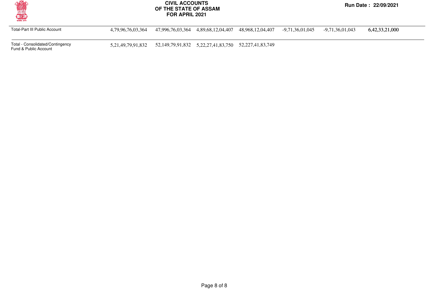

Total-Part III Public Account 4,79,96,76,03,364 47,996,76,03,364 4,89,68,12,04,407 48,968,12,04,407 -9,71,36,01,045 -9,71,36,01,043 6,42,33,21,000

Total - Consolidated/Contingency Fund & Public Account

5,21,49,79,91,832 52,149,79,91,832 5,22,27,41,83,750 52,227,41,83,749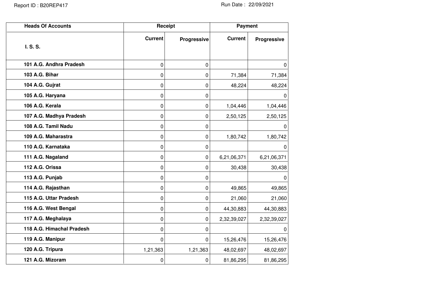| <b>Heads Of Accounts</b>  |                | Receipt     | <b>Payment</b> |             |  |
|---------------------------|----------------|-------------|----------------|-------------|--|
| I. S. S.                  | <b>Current</b> | Progressive | <b>Current</b> | Progressive |  |
|                           |                |             |                |             |  |
| 101 A.G. Andhra Pradesh   | 0              | 0           |                | $\Omega$    |  |
| 103 A.G. Bihar            | 0              | 0           | 71,384         | 71,384      |  |
| 104 A.G. Gujrat           | 0              | 0           | 48,224         | 48,224      |  |
| 105 A.G. Haryana          | 0              | 0           |                | $\Omega$    |  |
| 106 A.G. Kerala           | 0              | 0           | 1,04,446       | 1,04,446    |  |
| 107 A.G. Madhya Pradesh   | 0              | 0           | 2,50,125       | 2,50,125    |  |
| 108 A.G. Tamil Nadu       | 0              | 0           |                | 0           |  |
| 109 A.G. Maharastra       | 0              | 0           | 1,80,742       | 1,80,742    |  |
| 110 A.G. Karnataka        | 0              | 0           |                | $\Omega$    |  |
| 111 A.G. Nagaland         | 0              | 0           | 6,21,06,371    | 6,21,06,371 |  |
| 112 A.G. Orissa           | 0              | 0           | 30,438         | 30,438      |  |
| 113 A.G. Punjab           | 0              | 0           |                | 0           |  |
| 114 A.G. Rajasthan        | 0              | 0           | 49,865         | 49,865      |  |
| 115 A.G. Uttar Pradesh    | 0              | 0           | 21,060         | 21,060      |  |
| 116 A.G. West Bengal      | 0              | 0           | 44,30,883      | 44,30,883   |  |
| 117 A.G. Meghalaya        | 0              | 0           | 2,32,39,027    | 2,32,39,027 |  |
| 118 A.G. Himachal Pradesh | 0              | 0           |                | $\Omega$    |  |
| 119 A.G. Manipur          | 0              | 0           | 15,26,476      | 15,26,476   |  |
| 120 A.G. Tripura          | 1,21,363       | 1,21,363    | 48,02,697      | 48,02,697   |  |
| 121 A.G. Mizoram          | 0              | 0           | 81,86,295      | 81,86,295   |  |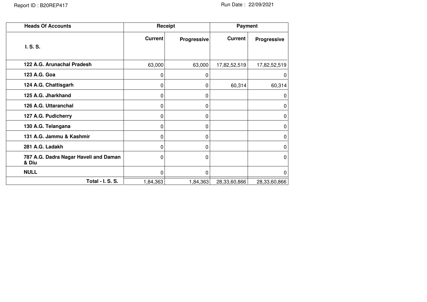| <b>Heads Of Accounts</b>                       |                | Receipt            | Payment        |                    |  |
|------------------------------------------------|----------------|--------------------|----------------|--------------------|--|
| I. S. S.                                       | <b>Current</b> | <b>Progressive</b> | <b>Current</b> | <b>Progressive</b> |  |
| 122 A.G. Arunachal Pradesh                     | 63,000         | 63,000             | 17,82,52,519   | 17,82,52,519       |  |
| 123 A.G. Goa                                   | 0              | 0                  |                | 0                  |  |
| 124 A.G. Chattisgarh                           | 0              | 0                  | 60,314         | 60,314             |  |
| 125 A.G. Jharkhand                             | 0              | 0                  |                | 0                  |  |
| 126 A.G. Uttaranchal                           | 0              | 0                  |                | 0                  |  |
| 127 A.G. Pudicherry                            | 0              | 0                  |                | 0                  |  |
| 130 A.G. Telangana                             | 0              | 0                  |                | 0                  |  |
| 131 A.G. Jammu & Kashmir                       | 0              | 0                  |                | 0                  |  |
| 281 A.G. Ladakh                                | 0              | 0                  |                | 0                  |  |
| 787 A.G. Dadra Nagar Haveli and Daman<br>& Diu | 0              | $\Omega$           |                | $\mathbf{0}$       |  |
| <b>NULL</b>                                    | 0              | $\Omega$           |                | $\mathbf{0}$       |  |
| Total - I. S. S.                               | 1,84,363       | 1,84,363           | 28,33,60,866   | 28,33,60,866       |  |